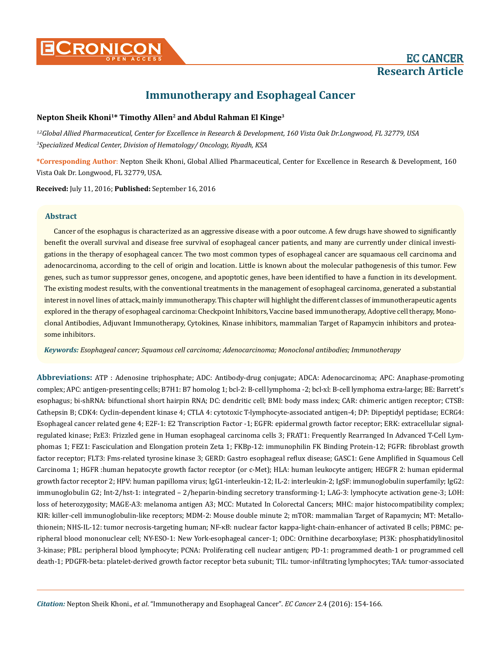# **Immunotherapy and Esophageal Cancer**

# **Nepton Sheik Khoni1\* Timothy Allen2 and Abdul Rahman El Kinge3**

*1,2Global Allied Pharmaceutical, Center for Excellence in Research & Development, 160 Vista Oak Dr.Longwood, FL 32779, USA 3 Specialized Medical Center, Division of Hematology/ Oncology, Riyadh, KSA*

**\*Corresponding Author**: Nepton Sheik Khoni, Global Allied Pharmaceutical, Center for Excellence in Research & Development, 160 Vista Oak Dr. Longwood, FL 32779, USA.

**Received:** July 11, 2016; **Published:** September 16, 2016

# **Abstract**

Cancer of the esophagus is characterized as an aggressive disease with a poor outcome. A few drugs have showed to significantly benefit the overall survival and disease free survival of esophageal cancer patients, and many are currently under clinical investigations in the therapy of esophageal cancer. The two most common types of esophageal cancer are squamaous cell carcinoma and adenocarcinoma, according to the cell of origin and location. Little is known about the molecular pathogenesis of this tumor. Few genes, such as tumor suppressor genes, oncogene, and apoptotic genes, have been identified to have a function in its development. The existing modest results, with the conventional treatments in the management of esophageal carcinoma, generated a substantial interest in novel lines of attack, mainly immunotherapy. This chapter will highlight the different classes of immunotherapeutic agents explored in the therapy of esophageal carcinoma: Checkpoint Inhibitors, Vaccine based immunotherapy, Adoptive cell therapy, Monoclonal Antibodies, Adjuvant Immunotherapy, Cytokines, Kinase inhibitors, mammalian Target of Rapamycin inhibitors and proteasome inhibitors.

*Keywords: Esophageal cancer; Squamous cell carcinoma; Adenocarcinoma; Monoclonal antibodies; Immunotherapy*

**Abbreviations:** ATP : Adenosine triphosphate; ADC: Antibody-drug conjugate; ADCA: Adenocarcinoma; APC: Anaphase-promoting complex; APC: antigen-presenting cells; B7H1: B7 homolog 1; bcl-2: B-cell lymphoma -2; bcl-xl: B-cell lymphoma extra-large; BE: Barrett's esophagus; bi-shRNA: bifunctional short hairpin RNA; DC: dendritic cell; BMI: body mass index; CAR: chimeric antigen receptor; CTSB: Cathepsin B; CDK4: Cyclin-dependent kinase 4; CTLA 4: cytotoxic T-lymphocyte-associated antigen-4; DP: Dipeptidyl peptidase; ECRG4: Esophageal cancer related gene 4; E2F-1: E2 Transcription Factor -1; EGFR: epidermal growth factor receptor; ERK: extracellular signalregulated kinase; FzE3: Frizzled gene in Human esophageal carcinoma cells 3; FRAT1: Frequently Rearranged In Advanced T-Cell Lymphomas 1; FEZ1: Fasciculation and Elongation protein Zeta 1; FKBp-12: immunophilin FK Binding Protein-12; FGFR: fibroblast growth factor receptor; FLT3: Fms-related tyrosine kinase 3; GERD: Gastro esophageal reflux disease; GASC1: Gene Amplified in Squamous Cell Carcinoma 1; HGFR :human hepatocyte growth factor receptor (or c-Met); HLA: human leukocyte antigen; HEGFR 2: human epidermal growth factor receptor 2; HPV: human papilloma virus; IgG1-interleukin-12; IL-2: interleukin-2; IgSF: immunoglobulin superfamily; IgG2: immunoglobulin G2; Int-2/hst-1: integrated – 2/heparin-binding secretory transforming-1; LAG-3: lymphocyte activation gene-3; LOH: loss of heterozygosity; MAGE-A3: melanoma antigen A3; MCC: Mutated In Colorectal Cancers; MHC: major histocompatibility complex; KIR: killer-cell immunoglobulin-like receptors; MDM-2: Mouse double minute 2; mTOR: mammalian Target of Rapamycin; MT: Metallothionein; NHS-IL-12: tumor necrosis-targeting human; NF-κB: nuclear factor kappa-light-chain-enhancer of activated B cells; PBMC: peripheral blood mononuclear cell; NY-ESO-1: New York-esophageal cancer-1; ODC: Ornithine decarboxylase; PI3K: phosphatidylinositol 3-kinase; PBL: peripheral blood lymphocyte; PCNA: Proliferating cell nuclear antigen; PD-1: programmed death-1 or programmed cell death-1; PDGFR-beta: platelet-derived growth factor receptor beta subunit; TIL: tumor-infiltrating lymphocytes; TAA: tumor-associated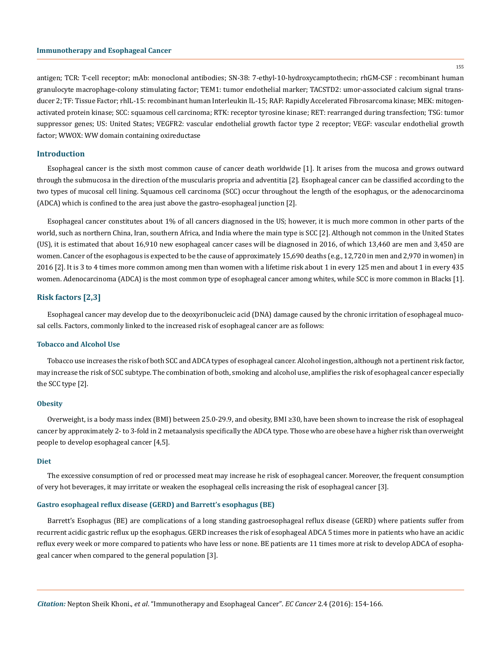155

antigen; TCR: T-cell receptor; mAb: monoclonal antibodies; SN-38: 7-ethyl-10-hydroxycamptothecin; rhGM-CSF : recombinant human granulocyte macrophage-colony stimulating factor; TEM1: tumor endothelial marker; TACSTD2: umor-associated calcium signal transducer 2; TF: Tissue Factor; rhIL-15: recombinant human Interleukin IL-15; RAF: Rapidly Accelerated Fibrosarcoma kinase; MEK: mitogenactivated protein kinase; SCC: squamous cell carcinoma; RTK: receptor tyrosine kinase; RET: rearranged during transfection; TSG: tumor suppressor genes; US: United States; VEGFR2: vascular endothelial growth factor type 2 receptor; VEGF: vascular endothelial growth factor; WWOX: WW domain containing oxireductase

# **Introduction**

Esophageal cancer is the sixth most common cause of cancer death worldwide [1]. It arises from the mucosa and grows outward through the submucosa in the direction of the muscularis propria and adventitia [2]. Esophageal cancer can be classified according to the two types of mucosal cell lining. Squamous cell carcinoma (SCC) occur throughout the length of the esophagus, or the adenocarcinoma (ADCA) which is confined to the area just above the gastro-esophageal junction [2].

Esophageal cancer constitutes about 1% of all cancers diagnosed in the US; however, it is much more common in other parts of the world, such as northern China, Iran, southern Africa, and India where the main type is SCC [2]. Although not common in the United States (US), it is estimated that about 16,910 new esophageal cancer cases will be diagnosed in 2016, of which 13,460 are men and 3,450 are women. Cancer of the esophagous is expected to be the cause of approximately 15,690 deaths (e.g., 12,720 in men and 2,970 in women) in 2016 [2]. It is 3 to 4 times more common among men than women with a lifetime risk about 1 in every 125 men and about 1 in every 435 women. Adenocarcinoma (ADCA) is the most common type of esophageal cancer among whites, while SCC is more common in Blacks [1].

# **Risk factors [2,3]**

Esophageal cancer may develop due to the deoxyribonucleic acid (DNA) damage caused by the chronic irritation of esophageal mucosal cells. Factors, commonly linked to the increased risk of esophageal cancer are as follows:

## **Tobacco and Alcohol Use**

Tobacco use increases the risk of both SCC and ADCA types of esophageal cancer. Alcohol ingestion, although not a pertinent risk factor, may increase the risk of SCC subtype. The combination of both, smoking and alcohol use, amplifies the risk of esophageal cancer especially the SCC type [2].

#### **Obesity**

Overweight, is a body mass index (BMI) between 25.0-29.9, and obesity, BMI ≥30, have been shown to increase the risk of esophageal cancer by approximately 2- to 3-fold in 2 metaanalysis specifically the ADCA type. Those who are obese have a higher risk than overweight people to develop esophageal cancer [4,5].

#### **Diet**

The excessive consumption of red or processed meat may increase he risk of esophageal cancer. Moreover, the frequent consumption of very hot beverages, it may irritate or weaken the esophageal cells increasing the risk of esophageal cancer [3].

# **Gastro esophageal reflux disease (GERD) and Barrett's esophagus (BE)**

Barrett's Esophagus (BE) are complications of a long standing gastroesophageal reflux disease (GERD) where patients suffer from recurrent acidic gastric reflux up the esophagus. GERD increases the risk of esophageal ADCA 5 times more in patients who have an acidic reflux every week or more compared to patients who have less or none. BE patients are 11 times more at risk to develop ADCA of esophageal cancer when compared to the general population [3].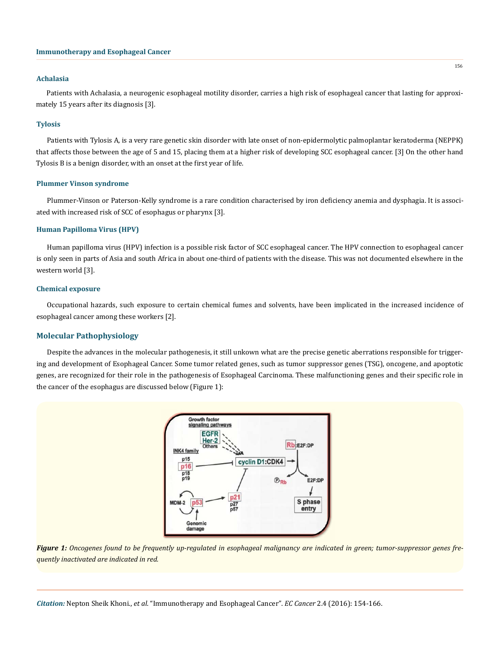# **Immunotherapy and Esophageal Cancer**

#### **Achalasia**

Patients with Achalasia, a neurogenic esophageal motility disorder, carries a high risk of esophageal cancer that lasting for approximately 15 years after its diagnosis [3].

#### **Tylosis**

Patients with Tylosis A, is a very rare genetic skin disorder with late onset of non-epidermolytic palmoplantar keratoderma (NEPPK) that affects those between the age of 5 and 15, placing them at a higher risk of developing SCC esophageal cancer. [3] On the other hand Tylosis B is a benign disorder, with an onset at the first year of life.

# **Plummer Vinson syndrome**

Plummer-Vinson or Paterson-Kelly syndrome is a rare condition characterised by iron deficiency anemia and dysphagia. It is associated with increased risk of SCC of esophagus or pharynx [3].

# **Human Papilloma Virus (HPV)**

Human papilloma virus (HPV) infection is a possible risk factor of SCC esophageal cancer. The HPV connection to esophageal cancer is only seen in parts of Asia and south Africa in about one-third of patients with the disease. This was not documented elsewhere in the western world [3].

## **Chemical exposure**

Occupational hazards, such exposure to certain chemical fumes and solvents, have been implicated in the increased incidence of esophageal cancer among these workers [2].

## **Molecular Pathophysiology**

Despite the advances in the molecular pathogenesis, it still unkown what are the precise genetic aberrations responsible for triggering and development of Esophageal Cancer. Some tumor related genes, such as tumor suppressor genes (TSG), oncogene, and apoptotic genes, are recognized for their role in the pathogenesis of Esophageal Carcinoma. These malfunctioning genes and their specific role in the cancer of the esophagus are discussed below (Figure 1):





*Citation:* Nepton Sheik Khoni., *et al*. "Immunotherapy and Esophageal Cancer". *EC Cancer* 2.4 (2016): 154-166.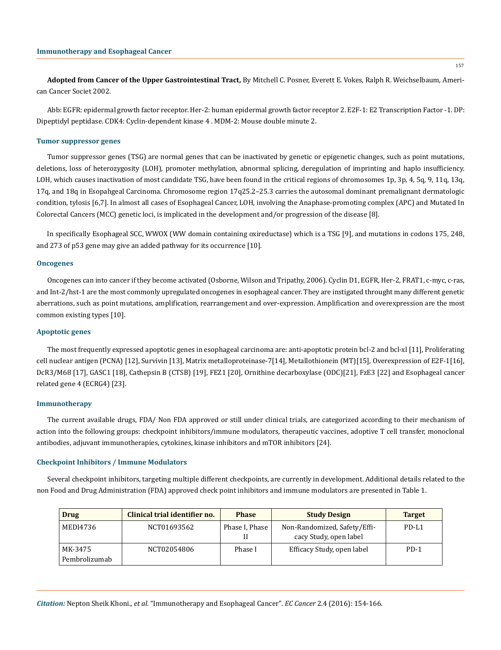**Adopted from Cancer of the Upper Gastrointestinal Tract,** By Mitchell C. Posner, Everett E. Vokes, Ralph R. Weichselbaum, American Cancer Societ 2002.

Abb: EGFR: epidermal growth factor receptor. Her-2: human epidermal growth factor receptor 2. E2F-1: E2 Transcription Factor -1. DP: Dipeptidyl peptidase. CDK4: Cyclin-dependent kinase 4 . MDM-2: Mouse double minute 2.

## **Tumor suppressor genes**

Tumor suppressor genes (TSG) are normal genes that can be inactivated by genetic or epigenetic changes, such as point mutations, deletions, loss of heterozygosity (LOH), promoter methylation, abnormal splicing, deregulation of imprinting and haplo insufficiency. LOH, which causes inactivation of most candidate TSG, have been found in the critical regions of chromosomes 1p, 3p, 4, 5q, 9, 11q, 13q, 17q, and 18q in Esopahgeal Carcinoma. Chromosome region 17q25.2–25.3 carries the autosomal dominant premalignant dermatologic condition, tylosis [6,7]. In almost all cases of Esophageal Cancer, LOH, involving the Anaphase-promoting complex (APC) and Mutated In Colorectal Cancers (MCC) genetic loci, is implicated in the development and/or progression of the disease [8].

In specifically Esophageal SCC, WWOX (WW domain containing oxireductase) which is a TSG [9], and mutations in codons 175, 248, and 273 of p53 gene may give an added pathway for its occurrence [10].

#### **Oncogenes**

Oncogenes can into cancer if they become activated (Osborne, Wilson and Tripathy, 2006). Cyclin D1, EGFR, Her-2, FRAT1, c-myc, c-ras, and Int-2/hst-1 are the most commonly upregulated oncogenes in esophageal cancer. They are instigated throught many different genetic aberrations, such as point mutations, amplification, rearrangement and over-expression. Amplification and overexpression are the most common existing types [10].

#### **Apoptotic genes**

The most frequently expressed apoptotic genes in esophageal carcinoma are: anti-apoptotic protein bcl-2 and bcl-xl [11], Proliferating cell nuclear antigen (PCNA) [12], Survivin [13], Matrix metalloproteinase-7[14], Metallothionein (MT)[15], Overexpression of E2F-1[16], DcR3/M68 [17], GASC1 [18], Cathepsin B (CTSB) [19], FEZ1 [20], Ornithine decarboxylase (ODC)[21], FzE3 [22] and Esophageal cancer related gene 4 (ECRG4) [23].

#### **Immunotherapy**

The current available drugs, FDA/ Non FDA approved or still under clinical trials, are categorized according to their mechanism of action into the following groups: checkpoint inhibitors/immune modulators, therapeutic vaccines, adoptive T cell transfer, monoclonal antibodies, adjuvant immunotherapies, cytokines, kinase inhibitors and mTOR inhibitors [24].

#### **Checkpoint Inhibitors / Immune Modulators**

Several checkpoint inhibitors, targeting multiple different checkpoints, are currently in development. Additional details related to the non Food and Drug Administration (FDA) approved check point inhibitors and immune modulators are presented in Table 1.

| Drug                     | Clinical trial identifier no. | <b>Phase</b>   | <b>Study Design</b>                                    | <b>Target</b> |
|--------------------------|-------------------------------|----------------|--------------------------------------------------------|---------------|
| MEDI4736                 | NCT01693562                   | Phase I, Phase | Non-Randomized, Safety/Effi-<br>cacy Study, open label | PD-L1         |
| MK-3475<br>Pembrolizumab | NCT02054806                   | Phase I        | Efficacy Study, open label                             | $PD-1$        |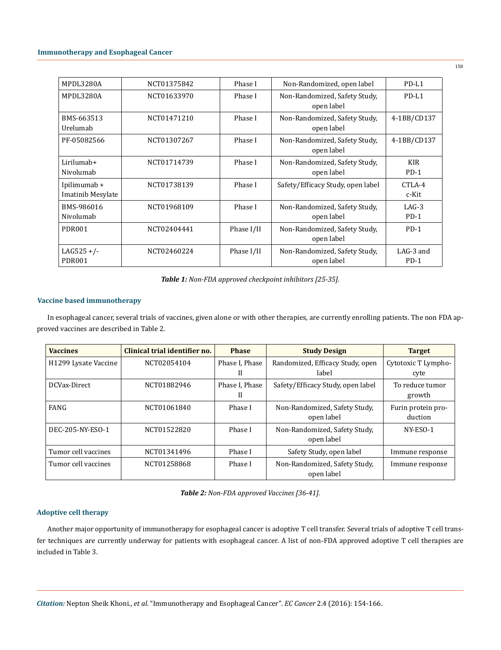| MPDL3280A                                | NCT01375842 | Phase I    | Non-Randomized, open label                  | $PD-L1$               |
|------------------------------------------|-------------|------------|---------------------------------------------|-----------------------|
| MPDL3280A                                | NCT01633970 | Phase I    | Non-Randomized, Safety Study,<br>open label | PD-L1                 |
| BMS-663513<br>Urelumab                   | NCT01471210 | Phase I    | Non-Randomized, Safety Study,<br>open label | 4-1BB/CD137           |
| PF-05082566                              | NCT01307267 | Phase I    | Non-Randomized, Safety Study,<br>open label | 4-1BB/CD137           |
| Lirilumab+<br>Nivolumab                  | NCT01714739 | Phase I    | Non-Randomized, Safety Study,<br>open label | <b>KIR</b><br>$PD-1$  |
| Ipilimumab +<br><b>Imatinib Mesylate</b> | NCT01738139 | Phase I    | Safety/Efficacy Study, open label           | CTLA-4<br>c-Kit       |
| BMS-986016<br>Nivolumab                  | NCT01968109 | Phase I    | Non-Randomized, Safety Study,<br>open label | $LAG-3$<br>$PD-1$     |
| <b>PDR001</b>                            | NCT02404441 | Phase I/II | Non-Randomized, Safety Study,<br>open label | $PD-1$                |
| $LAG525 +/-$<br><b>PDR001</b>            | NCT02460224 | Phase I/II | Non-Randomized, Safety Study,<br>open label | $LAG-3$ and<br>$PD-1$ |

*Table 1: Non-FDA approved checkpoint inhibitors [25-35].*

# **Vaccine based immunotherapy**

In esophageal cancer, several trials of vaccines, given alone or with other therapies, are currently enrolling patients. The non FDA approved vaccines are described in Table 2.

| <b>Vaccines</b>                  | Clinical trial identifier no. | <b>Phase</b>   | <b>Study Design</b>               | <b>Target</b>       |
|----------------------------------|-------------------------------|----------------|-----------------------------------|---------------------|
| H <sub>1299</sub> Lysate Vaccine | NCT02054104                   | Phase I, Phase | Randomized, Efficacy Study, open  | Cytotoxic T Lympho- |
|                                  |                               | H              | label                             | cyte                |
| DCVax-Direct                     | NCT01882946                   | Phase I, Phase | Safety/Efficacy Study, open label | To reduce tumor     |
|                                  |                               | H              |                                   | growth              |
| FANG                             | NCT01061840                   | Phase I        | Non-Randomized, Safety Study,     | Furin protein pro-  |
|                                  |                               |                | open label                        | duction             |
| DEC-205-NY-ESO-1                 | NCT01522820                   | Phase I        | Non-Randomized, Safety Study,     | NY-ESO-1            |
|                                  |                               |                | open label                        |                     |
| Tumor cell vaccines              | NCT01341496                   | Phase I        | Safety Study, open label          | Immune response     |
| Tumor cell vaccines              | NCT01258868                   | Phase I        | Non-Randomized, Safety Study,     | Immune response     |
|                                  |                               |                | open label                        |                     |

*Table 2: Non-FDA approved Vaccines [36-41].*

# **Adoptive cell therapy**

Another major opportunity of immunotherapy for esophageal cancer is adoptive T cell transfer. Several trials of adoptive T cell transfer techniques are currently underway for patients with esophageal cancer. A list of non-FDA approved adoptive T cell therapies are included in Table 3.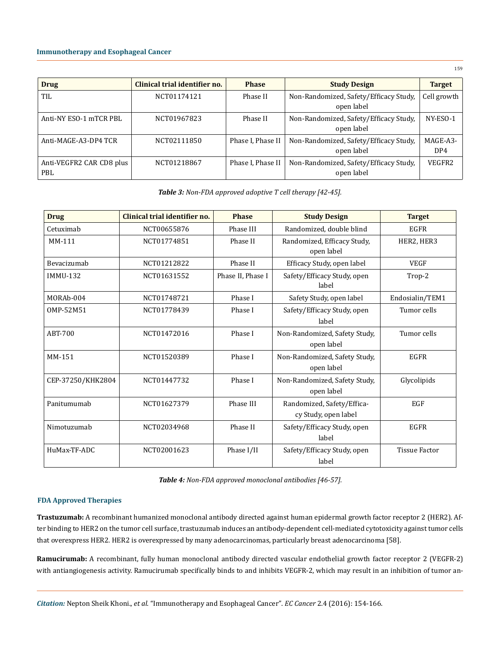| <b>Drug</b>                     | Clinical trial identifier no. | <b>Phase</b>      | <b>Study Design</b>                                  | <b>Target</b>   |
|---------------------------------|-------------------------------|-------------------|------------------------------------------------------|-----------------|
| TIL                             | NCT01174121                   | Phase II          | Non-Randomized, Safety/Efficacy Study,<br>open label | Cell growth     |
| Anti-NY ESO-1 mTCR PBL          | NCT01967823                   | Phase II          | Non-Randomized, Safety/Efficacy Study,<br>open label | NY-ESO-1        |
| Anti-MAGE-A3-DP4 TCR            | NCT02111850                   | Phase I, Phase II | Non-Randomized, Safety/Efficacy Study,<br>open label | MAGE-A3-<br>DP4 |
| Anti-VEGFR2 CAR CD8 plus<br>PBL | NCT01218867                   | Phase I, Phase II | Non-Randomized, Safety/Efficacy Study,<br>open label | VEGFR2          |

*Table 3: Non-FDA approved adoptive T cell therapy [42-45].*

| <b>Drug</b>       | Clinical trial identifier no. | <b>Phase</b>      | <b>Study Design</b>                                              | <b>Target</b>        |
|-------------------|-------------------------------|-------------------|------------------------------------------------------------------|----------------------|
| Cetuximab         | NCT00655876                   | Phase III         | Randomized, double blind                                         | <b>EGFR</b>          |
| MM-111            | NCT01774851                   | Phase II          | Randomized, Efficacy Study,<br>open label                        | HER2, HER3           |
| Bevacizumab       | NCT01212822                   | Phase II          | Efficacy Study, open label                                       | <b>VEGF</b>          |
| <b>IMMU-132</b>   | NCT01631552                   | Phase II, Phase I | Safety/Efficacy Study, open<br>label                             | Trop-2               |
| MORAb-004         | NCT01748721                   | Phase I           | Safety Study, open label                                         | Endosialin/TEM1      |
| OMP-52M51         | NCT01778439                   | Phase I           | Safety/Efficacy Study, open<br>label                             | Tumor cells          |
| ABT-700           | NCT01472016                   | Phase I           | Non-Randomized, Safety Study,<br>open label                      | Tumor cells          |
| MM-151            | NCT01520389                   | Phase I           | Non-Randomized, Safety Study,<br>open label                      | <b>EGFR</b>          |
| CEP-37250/KHK2804 | NCT01447732                   | Phase I           | Non-Randomized, Safety Study,<br>open label                      | Glycolipids          |
| Panitumumah       | NCT01627379                   | Phase III         | <b>EGF</b><br>Randomized, Safety/Effica-<br>cy Study, open label |                      |
| Nimotuzumab       | NCT02034968                   | Phase II          | Safety/Efficacy Study, open<br>label                             | <b>EGFR</b>          |
| HuMax-TF-ADC      | NCT02001623                   | Phase I/II        | Safety/Efficacy Study, open<br>label                             | <b>Tissue Factor</b> |

*Table 4: Non-FDA approved monoclonal antibodies [46-57].*

# **FDA Approved Therapies**

**Trastuzumab:** A recombinant humanized monoclonal antibody directed against human epidermal growth factor receptor 2 (HER2). After binding to HER2 on the tumor cell surface, trastuzumab induces an antibody-dependent cell-mediated cytotoxicity against tumor cells that overexpress HER2. HER2 is overexpressed by many adenocarcinomas, particularly breast adenocarcinoma [58].

**Ramucirumab:** A recombinant, fully human monoclonal antibody directed vascular endothelial growth factor receptor 2 (VEGFR-2) with antiangiogenesis activity. Ramucirumab specifically binds to and inhibits VEGFR-2, which may result in an inhibition of tumor an-

*Citation:* Nepton Sheik Khoni., *et al*. "Immunotherapy and Esophageal Cancer". *EC Cancer* 2.4 (2016): 154-166.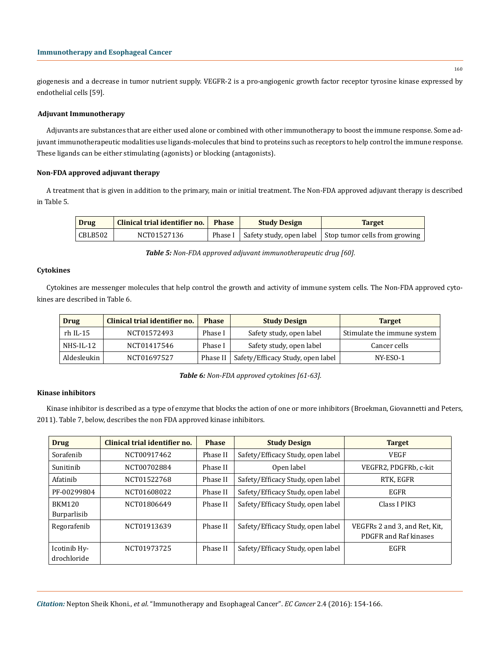giogenesis and a decrease in tumor nutrient supply. VEGFR-2 is a pro-angiogenic growth factor receptor tyrosine kinase expressed by endothelial cells [59].

# **Adjuvant Immunotherapy**

Adjuvants are substances that are either used alone or combined with other immunotherapy to boost the immune response. Some adjuvant immunotherapeutic modalities use ligands-molecules that bind to proteins such as receptors to help control the immune response. These ligands can be either stimulating (agonists) or blocking (antagonists).

# **Non-FDA approved adjuvant therapy**

A treatment that is given in addition to the primary, main or initial treatment. The Non-FDA approved adjuvant therapy is described in Table 5.

| <b>Drug</b> | Clinical trial identifier no. | <b>Phase</b> | <b>Study Design</b> | <b>Target</b>                                                      |
|-------------|-------------------------------|--------------|---------------------|--------------------------------------------------------------------|
| CBLB502     | NCT01527136                   |              |                     | Phase I   Safety study, open label   Stop tumor cells from growing |

*Table 5: Non-FDA approved adjuvant immunotherapeutic drug [60].*

# **Cytokines**

Cytokines are messenger molecules that help control the growth and activity of immune system cells. The Non-FDA approved cytokines are described in Table 6.

| <b>Drug</b> | Clinical trial identifier no. | <b>Phase</b> | <b>Study Design</b>               | <b>Target</b>               |
|-------------|-------------------------------|--------------|-----------------------------------|-----------------------------|
| $rh$ IL-15  | NCT01572493                   | Phase I      | Safety study, open label          | Stimulate the immune system |
| NHS-IL-12   | NCT01417546                   | Phase I      | Safety study, open label          | Cancer cells                |
| Aldesleukin | NCT01697527                   | Phase II     | Safety/Efficacy Study, open label | NY-ESO-1                    |

*Table 6: Non-FDA approved cytokines [61-63].*

# **Kinase inhibitors**

Kinase inhibitor is described as a type of enzyme that blocks the action of one or more inhibitors (Broekman, Giovannetti and Peters, 2011). Table 7, below, describes the non FDA approved kinase inhibitors.

| <b>Drug</b>   | Clinical trial identifier no. | <b>Phase</b> | <b>Study Design</b>               | <b>Target</b>                 |
|---------------|-------------------------------|--------------|-----------------------------------|-------------------------------|
| Sorafenib     | NCT00917462                   | Phase II     | Safety/Efficacy Study, open label | VEGF                          |
| Sunitinib     | NCT00702884                   | Phase II     | Open label                        | VEGFR2, PDGFRb, c-kit         |
| Afatinib      | NCT01522768                   | Phase II     | Safety/Efficacy Study, open label | RTK, EGFR                     |
| PF-00299804   | NCT01608022                   | Phase II     | Safety/Efficacy Study, open label | EGFR                          |
| <b>BKM120</b> | NCT01806649                   | Phase II     | Safety/Efficacy Study, open label | Class I PIK3                  |
| Burparlisib   |                               |              |                                   |                               |
| Regorafenib   | NCT01913639                   | Phase II     | Safety/Efficacy Study, open label | VEGFRs 2 and 3, and Ret, Kit, |
|               |                               |              |                                   | PDGFR and Raf kinases         |
| Icotinib Hy-  | NCT01973725                   | Phase II     | Safety/Efficacy Study, open label | <b>EGFR</b>                   |
| drochloride   |                               |              |                                   |                               |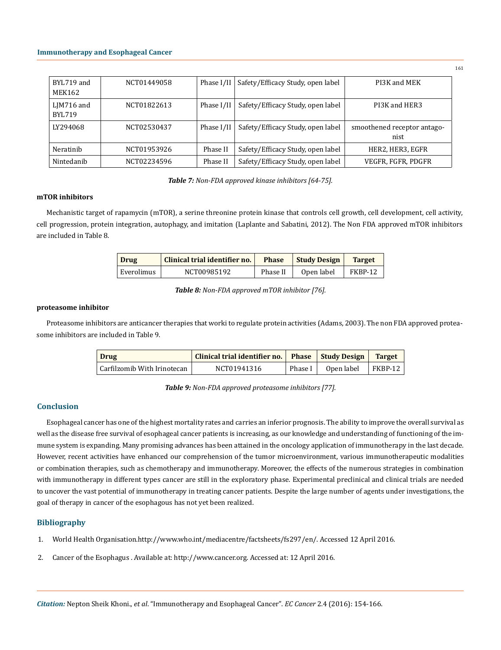| BYL719 and<br><b>MEK162</b>    | NCT01449058 | Phase I/II | Safety/Efficacy Study, open label | PI3K and MEK                |
|--------------------------------|-------------|------------|-----------------------------------|-----------------------------|
| $L$ JM716 and<br><b>BYL719</b> | NCT01822613 | Phase I/II | Safety/Efficacy Study, open label | PI3K and HER3               |
| LY294068                       | NCT02530437 | Phase I/II | Safety/Efficacy Study, open label | smoothened receptor antago- |
|                                |             |            |                                   | nist                        |
| Neratinib                      | NCT01953926 | Phase II   | Safety/Efficacy Study, open label | HER2, HER3, EGFR            |

*Table 7: Non-FDA approved kinase inhibitors [64-75].*

## **mTOR inhibitors**

Mechanistic target of rapamycin (mTOR), a serine threonine protein kinase that controls cell growth, cell development, cell activity, cell progression, protein integration, autophagy, and imitation (Laplante and Sabatini, 2012). The Non FDA approved mTOR inhibitors are included in Table 8.

| Drug       | Clinical trial identifier no. | <b>Phase</b> | <b>Study Design</b> | <b>Target</b> |
|------------|-------------------------------|--------------|---------------------|---------------|
| Everolimus | NCT00985192                   | Phase II     | Open label          | FKBP-12       |

*Table 8: Non-FDA approved mTOR inhibitor [76].*

# **proteasome inhibitor**

Proteasome inhibitors are anticancer therapies that worki to regulate protein activities (Adams, 2003). The non FDA approved proteasome inhibitors are included in Table 9.

| Drug                         | Clinical trial identifier no.   Phase   Study Design |         |            | <b>Target</b> |
|------------------------------|------------------------------------------------------|---------|------------|---------------|
| Carfilzomib With Irinotecan_ | NCT01941316                                          | Phase I | Open label | FKBP-12       |

*Table 9: Non-FDA approved proteasome inhibitors [77].*

# **Conclusion**

Esophageal cancer has one of the highest mortality rates and carries an inferior prognosis. The ability to improve the overall survival as well as the disease free survival of esophageal cancer patients is increasing, as our knowledge and understanding of functioning of the immune system is expanding. Many promising advances has been attained in the oncology application of immunotherapy in the last decade. However, recent activities have enhanced our comprehension of the tumor microenvironment, various immunotherapeutic modalities or combination therapies, such as chemotherapy and immunotherapy. Moreover, the effects of the numerous strategies in combination with immunotherapy in different types cancer are still in the exploratory phase. Experimental preclinical and clinical trials are needed to uncover the vast potential of immunotherapy in treating cancer patients. Despite the large number of agents under investigations, the goal of therapy in cancer of the esophagous has not yet been realized.

# **Bibliography**

- 1. World Health Organisation.http://www.who.int/mediacentre/factsheets/fs297/en/. Accessed 12 April 2016.
- 2. Cancer of the Esophagus . Available at: http://www.cancer.org. Accessed at: 12 April 2016.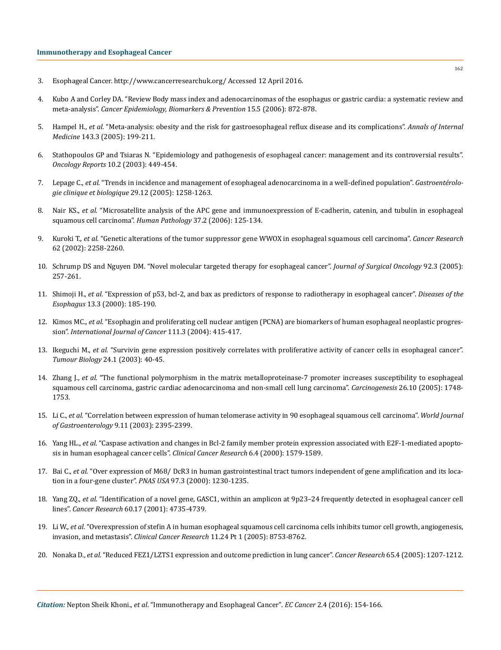- 3. Esophageal Cancer. http://www.cancerresearchuk.org/ Accessed 12 April 2016.
- 4. [Kubo A and Corley DA. "Review Body mass index and adenocarcinomas of the esophagus or gastric cardia: a systematic review and](http://www.ncbi.nlm.nih.gov/pubmed/16702363) meta-analysis". *[Cancer Epidemiology, Biomarkers & Prevention](http://www.ncbi.nlm.nih.gov/pubmed/16702363)* 15.5 (2006): 872-878.
- 5. Hampel H., *et al.* ["Meta-analysis: obesity and the risk for gastroesophageal reflux disease and its complications".](http://www.ncbi.nlm.nih.gov/pubmed/16061918) *Annals of Internal Medicine* [143.3 \(2005\): 199-211.](http://www.ncbi.nlm.nih.gov/pubmed/16061918)
- 6. [Stathopoulos GP and Tsiaras N. "Epidemiology and pathogenesis of esophageal cancer: management and its controversial results".](http://www.ncbi.nlm.nih.gov/pubmed/12579288) *Oncology Reports* [10.2 \(2003\): 449-454.](http://www.ncbi.nlm.nih.gov/pubmed/12579288)
- 7. Lepage C., *et al.* ["Trends in incidence and management of esophageal adenocarcinoma in a well-defined population".](http://www.em-consulte.com/en/article/100124) *Gastroentérolo[gie clinique et biologique](http://www.em-consulte.com/en/article/100124)* 29.12 (2005): 1258-1263.
- 8. Nair KS., *et al.* ["Microsatellite analysis of the APC gene and immunoexpression of E-cadherin, catenin, and tubulin in esophageal](http://www.ncbi.nlm.nih.gov/pubmed/16426911) [squamous cell carcinoma".](http://www.ncbi.nlm.nih.gov/pubmed/16426911) *Human Pathology* 37.2 (2006): 125-134.
- 9. Kuroki T., *et al.* ["Genetic alterations of the tumor suppressor gene WWOX in esophageal squamous cell carcinoma".](http://www.ncbi.nlm.nih.gov/pubmed/11956080) *Cancer Research* [62 \(2002\): 2258-2260.](http://www.ncbi.nlm.nih.gov/pubmed/11956080)
- 10. [Schrump DS and Nguyen DM. "Novel molecular targeted therapy for esophageal cancer".](http://www.ncbi.nlm.nih.gov/pubmed/16299785) *Journal of Surgical Oncology* 92.3 (2005): [257-261.](http://www.ncbi.nlm.nih.gov/pubmed/16299785)
- 11. Shimoji H., *et al.* ["Expression of p53, bcl-2, and bax as predictors of response to radiotherapy in esophageal cancer".](http://www.ncbi.nlm.nih.gov/pubmed/11206630) *Diseases of the Esophagus* [13.3 \(2000\): 185-190.](http://www.ncbi.nlm.nih.gov/pubmed/11206630)
- 12. Kimos MC., *et al.* ["Esophagin and proliferating cell nuclear antigen \(PCNA\) are biomarkers of human esophageal neoplastic progres](http://www.ncbi.nlm.nih.gov/pubmed/15221970)sion". *[International Journal of Cancer](http://www.ncbi.nlm.nih.gov/pubmed/15221970)* 111.3 (2004): 415-417.
- 13. Ikeguchi M., et al. ["Survivin gene expression positively correlates with proliferative activity of cancer cells in esophageal cancer".](http://www.ncbi.nlm.nih.gov/pubmed/12743425) *Tumour Biology* [24.1 \(2003\): 40-45.](http://www.ncbi.nlm.nih.gov/pubmed/12743425)
- 14. Zhang J., *et al.* ["The functional polymorphism in the matrix metalloproteinase-7 promoter increases susceptibility to esophageal](http://www.ncbi.nlm.nih.gov/pubmed/15930031) [squamous cell carcinoma, gastric cardiac adenocarcinoma and non-small cell lung carcinoma".](http://www.ncbi.nlm.nih.gov/pubmed/15930031) *Carcinogenesis* 26.10 (2005): 1748- [1753.](http://www.ncbi.nlm.nih.gov/pubmed/15930031)
- 15. Li C., *et al.* ["Correlation between expression of human telomerase activity in 90 esophageal squamous cell carcinoma".](http://www.ncbi.nlm.nih.gov/pubmed/14606063/) *World Journal of Gastroenterology* [9.11 \(2003\): 2395-2399.](http://www.ncbi.nlm.nih.gov/pubmed/14606063/)
- 16. Yang HL., *et al.* ["Caspase activation and changes in Bcl-2 family member protein expression associated with E2F-1-mediated apopto](http://www.ncbi.nlm.nih.gov/pubmed/10778992)[sis in human esophageal cancer cells".](http://www.ncbi.nlm.nih.gov/pubmed/10778992) *Clinical Cancer Research* 6.4 (2000): 1579-1589.
- 17. Bai C., *et al.* ["Over expression of M68/ DcR3 in human gastrointestinal tract tumors independent of gene amplification and its loca](http://www.ncbi.nlm.nih.gov/pubmed/10655513)[tion in a four-gene cluster".](http://www.ncbi.nlm.nih.gov/pubmed/10655513) *PNAS USA* 97.3 (2000): 1230-1235.
- 18. Yang ZQ., *et al.* ["Identification of a novel gene, GASC1, within an amplicon at 9p23–24 frequently detected in esophageal cancer cell](http://www.ncbi.nlm.nih.gov/pubmed/10987278) lines". *Cancer Research* [60.17 \(2001\): 4735-4739.](http://www.ncbi.nlm.nih.gov/pubmed/10987278)
- 19. Li W., *et al.* ["Overexpression of stefin A in human esophageal squamous cell carcinoma cells inhibits tumor cell growth, angiogenesis,](http://www.ncbi.nlm.nih.gov/pubmed/16361563) invasion, and metastasis". *Clinical Cancer Research* [11.24 Pt 1 \(2005\): 8753-8762.](http://www.ncbi.nlm.nih.gov/pubmed/16361563)
- 20. Nonaka D., *et al.* ["Reduced FEZ1/LZTS1 expression and outcome prediction in lung cancer".](http://www.ncbi.nlm.nih.gov/pubmed/15735004) *Cancer Research* 65.4 (2005): 1207-1212.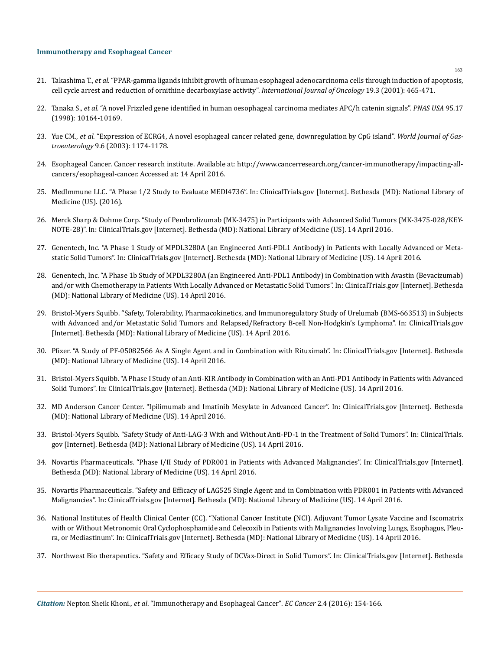- 21. Takashima T., *et al.* ["PPAR-gamma ligands inhibit growth of human esophageal adenocarcinoma cells through induction of apoptosis,](http://www.ncbi.nlm.nih.gov/pubmed/11494023) [cell cycle arrest and reduction of ornithine decarboxylase activity".](http://www.ncbi.nlm.nih.gov/pubmed/11494023) *International Journal of Oncology* 19.3 (2001): 465-471.
- 22. Tanaka S., *et al.* ["A novel Frizzled gene identified in human oesophageal carcinoma mediates APC/h catenin signals".](http://www.ncbi.nlm.nih.gov/pubmed/9707618/) *PNAS USA* 95.17 [\(1998\): 10164-10169.](http://www.ncbi.nlm.nih.gov/pubmed/9707618/)
- 23. Yue CM., *et al.* ["Expression of ECRG4, A novel esophageal cancer related gene, downregulation by CpG island".](http://www.ncbi.nlm.nih.gov/pubmed/12800218) *World Journal of Gastroenterology* [9.6 \(2003\): 1174-1178.](http://www.ncbi.nlm.nih.gov/pubmed/12800218)
- 24. Esophageal Cancer. Cancer research institute. Available at: http://www.cancerresearch.org/cancer-immunotherapy/impacting-allcancers/esophageal-cancer. Accessed at: 14 April 2016.
- 25. [MedImmune LLC. "A Phase 1/2 Study to Evaluate MEDI4736". In: ClinicalTrials.gov \[Internet\]. Bethesda \(MD\): National Library of](https://clinicaltrials.gov/ct2/show/NCT01693562) [Medicine \(US\). \(2016\).](https://clinicaltrials.gov/ct2/show/NCT01693562)
- 26. [Merck Sharp & Dohme Corp. "Study of Pembrolizumab \(MK-3475\) in Participants with Advanced Solid Tumors \(MK-3475-028/KEY-](https://clinicaltrials.gov/ct2/show/NCT02054806)[NOTE-28\)". In: ClinicalTrials.gov \[Internet\]. Bethesda \(MD\): National Library of Medicine \(US\). 14 April 2016.](https://clinicaltrials.gov/ct2/show/NCT02054806)
- 27. [Genentech, Inc. "A Phase 1 Study of MPDL3280A \(an Engineered Anti-PDL1 Antibody\) in Patients with Locally Advanced or Meta](https://clinicaltrials.gov/ct2/show/NCT01375842)[static Solid Tumors". In: ClinicalTrials.gov \[Internet\]. Bethesda \(MD\): National Library of Medicine \(US\). 14 April 2016.](https://clinicaltrials.gov/ct2/show/NCT01375842)
- 28. [Genentech, Inc. "A Phase 1b Study of MPDL3280A \(an Engineered Anti-PDL1 Antibody\) in Combination with Avastin \(Bevacizumab\)](https://www.smartpatients.com/trials/NCT01633970) [and/or with Chemotherapy in Patients With Locally Advanced or Metastatic Solid Tumors". In: ClinicalTrials.gov \[Internet\]. Bethesda](https://www.smartpatients.com/trials/NCT01633970) [\(MD\): National Library of Medicine \(US\). 14 April 2016.](https://www.smartpatients.com/trials/NCT01633970)
- 29. [Bristol-Myers Squibb. "Safety, Tolerability, Pharmacokinetics, and Immunoregulatory Study of Urelumab \(BMS-663513\) in Subjects](http://meetinglibrary.asco.org/content/113124-132) [with Advanced and/or Metastatic Solid Tumors and Relapsed/Refractory B-cell Non-Hodgkin's Lymphoma". In: ClinicalTrials.gov](http://meetinglibrary.asco.org/content/113124-132) [\[Internet\]. Bethesda \(MD\): National Library of Medicine \(US\). 14 April 2016.](http://meetinglibrary.asco.org/content/113124-132)
- 30. [Pfizer. "A Study of PF-05082566 As A Single Agent and in Combination with Rituximab". In: ClinicalTrials.gov \[Internet\]. Bethesda](https://clinicaltrials.gov/ct2/show/NCT01307267) [\(MD\): National Library of Medicine \(US\). 14 April 2016.](https://clinicaltrials.gov/ct2/show/NCT01307267)
- 31. [Bristol-Myers Squibb. "A Phase I Study of an Anti-KIR Antibody in Combination with an Anti-PD1 Antibody in Patients with Advanced](https://clinicaltrials.gov/ct2/show/NCT01714739) [Solid Tumors". In: ClinicalTrials.gov \[Internet\]. Bethesda \(MD\): National Library of Medicine \(US\). 14 April 2016.](https://clinicaltrials.gov/ct2/show/NCT01714739)
- 32. [MD Anderson Cancer Center. "Ipilimumab and Imatinib Mesylate in Advanced Cancer". In: ClinicalTrials.gov \[Internet\]. Bethesda](https://clinicaltrials.gov/ct2/show/NCT01738139) [\(MD\): National Library of Medicine \(US\). 14 April 2016.](https://clinicaltrials.gov/ct2/show/NCT01738139)
- 33. [Bristol-Myers Squibb. "Safety Study of Anti-LAG-3 With and Without Anti-PD-1 in the Treatment of Solid Tumors". In: ClinicalTrials.](https://clinicaltrials.gov/ct2/show/NCT01968109) [gov \[Internet\]. Bethesda \(MD\): National Library of Medicine \(US\). 14 April 2016.](https://clinicaltrials.gov/ct2/show/NCT01968109)
- 34. [Novartis Pharmaceuticals. "Phase I/II Study of PDR001 in Patients with Advanced Malignancies". In: ClinicalTrials.gov \[Internet\].](https://clinicaltrials.gov/ct2/show/NCT02404441) [Bethesda \(MD\): National Library of Medicine \(US\). 14 April 2016.](https://clinicaltrials.gov/ct2/show/NCT02404441)
- 35. [Novartis Pharmaceuticals. "Safety and Efficacy of LAG525 Single Agent and in Combination with PDR001 in Patients with Advanced](https://clinicaltrials.gov/ct2/show/NCT02460224) [Malignancies". In: ClinicalTrials.gov \[Internet\]. Bethesda \(MD\): National Library of Medicine \(US\). 14 April 2016.](https://clinicaltrials.gov/ct2/show/NCT02460224)
- 36. [National Institutes of Health Clinical Center \(CC\). "National Cancer Institute \(NCI\). Adjuvant Tumor Lysate Vaccine and Iscomatrix](https://clinicaltrials.gov/ct2/show/NCT02054104) [with or Without Metronomic Oral Cyclophosphamide and Celecoxib in Patients with Malignancies Involving Lungs, Esophagus, Pleu](https://clinicaltrials.gov/ct2/show/NCT02054104)[ra, or Mediastinum". In: ClinicalTrials.gov \[Internet\]. Bethesda \(MD\): National Library of Medicine \(US\). 14 April 2016.](https://clinicaltrials.gov/ct2/show/NCT02054104)
- 37. [Northwest Bio therapeutics. "Safety and Efficacy Study of DCVax-Direct in Solid Tumors". In: ClinicalTrials.gov \[Internet\]. Bethesda](https://clinicaltrials.gov/ct2/show/NCT01882946)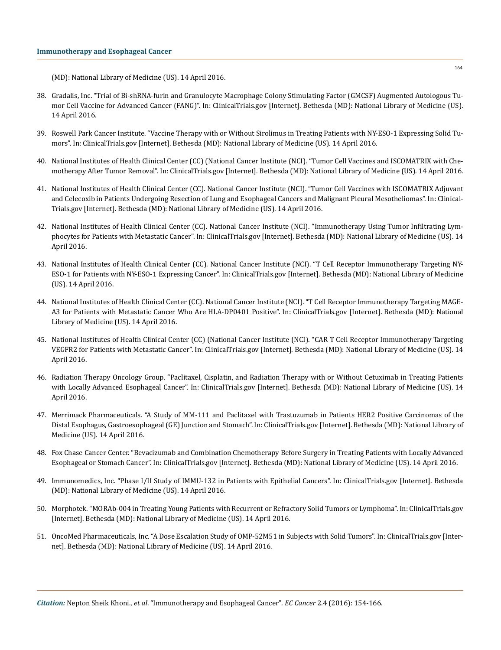[\(MD\): National Library of Medicine \(US\). 14 April 2016.](https://clinicaltrials.gov/ct2/show/NCT01882946)

- 38. [Gradalis, Inc. "Trial of Bi-shRNA-furin and Granulocyte Macrophage Colony Stimulating Factor \(GMCSF\) Augmented Autologous Tu](https://clinicaltrials.gov/ct2/show/NCT01061840)[mor Cell Vaccine for Advanced Cancer \(FANG\)". In: ClinicalTrials.gov \[Internet\]. Bethesda \(MD\): National Library of Medicine \(US\).](https://clinicaltrials.gov/ct2/show/NCT01061840) [14 April 2016.](https://clinicaltrials.gov/ct2/show/NCT01061840)
- 39. [Roswell Park Cancer Institute. "Vaccine Therapy with or Without Sirolimus in Treating Patients with NY-ESO-1 Expressing Solid Tu](https://clinicaltrials.gov/ct2/show/NCT01522820)[mors". In: ClinicalTrials.gov \[Internet\]. Bethesda \(MD\): National Library of Medicine \(US\). 14 April 2016.](https://clinicaltrials.gov/ct2/show/NCT01522820)
- 40. [National Institutes of Health Clinical Center \(CC\) \(National Cancer Institute \(NCI\). "Tumor Cell Vaccines and ISCOMATRIX with Che](https://clinicaltrials.gov/ct2/show/NCT01341496)[motherapy After Tumor Removal". In: ClinicalTrials.gov \[Internet\]. Bethesda \(MD\): National Library of Medicine \(US\). 14 April 2016.](https://clinicaltrials.gov/ct2/show/NCT01341496)
- 41. [National Institutes of Health Clinical Center \(CC\). National Cancer Institute \(NCI\). "Tumor Cell Vaccines with ISCOMATRIX Adjuvant](https://clinicaltrials.gov/ct2/show/NCT01258868) [and Celecoxib in Patients Undergoing Resection of Lung and Esophageal Cancers and Malignant Pleural Mesotheliomas". In: Clinical-](https://clinicaltrials.gov/ct2/show/NCT01258868)[Trials.gov \[Internet\]. Bethesda \(MD\): National Library of Medicine \(US\). 14 April 2016.](https://clinicaltrials.gov/ct2/show/NCT01258868)
- 42. [National Institutes of Health Clinical Center \(CC\). National Cancer Institute \(NCI\). "Immunotherapy Using Tumor Infiltrating Lym](https://clinicaltrials.gov/ct2/show/NCT01174121)[phocytes for Patients with Metastatic Cancer". In: ClinicalTrials.gov \[Internet\]. Bethesda \(MD\): National Library of Medicine \(US\). 14](https://clinicaltrials.gov/ct2/show/NCT01174121) [April 2016.](https://clinicaltrials.gov/ct2/show/NCT01174121)
- 43. [National Institutes of Health Clinical Center \(CC\). National Cancer Institute \(NCI\). "T Cell Receptor Immunotherapy Targeting NY-](https://clinicaltrials.gov/ct2/show/NCT01967823)[ESO-1 for Patients with NY-ESO-1 Expressing Cancer". In: ClinicalTrials.gov \[Internet\]. Bethesda \(MD\): National Library of Medicine](https://clinicaltrials.gov/ct2/show/NCT01967823) [\(US\). 14 April 2016.](https://clinicaltrials.gov/ct2/show/NCT01967823)
- 44. [National Institutes of Health Clinical Center \(CC\). National Cancer Institute \(NCI\). "T Cell Receptor Immunotherapy Targeting MAGE-](https://clinicaltrials.gov/ct2/show/NCT02111850)[A3 for Patients with Metastatic Cancer Who Are HLA-DP0401 Positive". In: ClinicalTrials.gov \[Internet\]. Bethesda \(MD\): National](https://clinicaltrials.gov/ct2/show/NCT02111850) [Library of Medicine \(US\). 14 April 2016.](https://clinicaltrials.gov/ct2/show/NCT02111850)
- 45. [National Institutes of Health Clinical Center \(CC\) \(National Cancer Institute \(NCI\). "CAR T Cell Receptor Immunotherapy Targeting](https://clinicaltrials.gov/ct2/show/NCT01218867) [VEGFR2 for Patients with Metastatic Cancer". In: ClinicalTrials.gov \[Internet\]. Bethesda \(MD\): National Library of Medicine \(US\). 14](https://clinicaltrials.gov/ct2/show/NCT01218867) [April 2016.](https://clinicaltrials.gov/ct2/show/NCT01218867)
- 46. [Radiation Therapy Oncology Group. "Paclitaxel, Cisplatin, and Radiation Therapy with or Without Cetuximab in Treating Patients](https://clinicaltrials.gov/ct2/show/NCT00655876) [with Locally Advanced Esophageal Cancer". In: ClinicalTrials.gov \[Internet\]. Bethesda \(MD\): National Library of Medicine \(US\). 14](https://clinicaltrials.gov/ct2/show/NCT00655876) [April 2016.](https://clinicaltrials.gov/ct2/show/NCT00655876)
- 47. [Merrimack Pharmaceuticals. "A Study of MM-111 and Paclitaxel with Trastuzumab in Patients HER2 Positive Carcinomas of the](http://meetinglibrary.asco.org/content/133646-144) [Distal Esophagus, Gastroesophageal \(GE\) Junction and Stomach". In: ClinicalTrials.gov \[Internet\]. Bethesda \(MD\): National Library of](http://meetinglibrary.asco.org/content/133646-144) [Medicine \(US\). 14 April 2016.](http://meetinglibrary.asco.org/content/133646-144)
- 48. [Fox Chase Cancer Center. "Bevacizumab and Combination Chemotherapy Before Surgery in Treating Patients with Locally Advanced](https://clinicaltrials.gov/ct2/show/NCT01212822) [Esophageal or Stomach Cancer". In: ClinicalTrials.gov \[Internet\]. Bethesda \(MD\): National Library of Medicine \(US\). 14 April 2016.](https://clinicaltrials.gov/ct2/show/NCT01212822)
- 49. [Immunomedics, Inc. "Phase I/II Study of IMMU-132 in Patients with Epithelial Cancers". In: ClinicalTrials.gov \[Internet\]. Bethesda](https://clinicaltrials.gov/ct2/show/NCT01631552) [\(MD\): National Library of Medicine \(US\). 14 April 2016.](https://clinicaltrials.gov/ct2/show/NCT01631552)
- 50. [Morphotek. "MORAb-004 in Treating Young Patients with Recurrent or Refractory Solid Tumors or Lymphoma". In: ClinicalTrials.gov](https://clinicaltrials.gov/ct2/show/NCT01748721) [\[Internet\]. Bethesda \(MD\): National Library of Medicine \(US\). 14 April 2016.](https://clinicaltrials.gov/ct2/show/NCT01748721)
- 51. [OncoMed Pharmaceuticals, Inc. "A Dose Escalation Study of OMP-52M51 in Subjects with Solid Tumors". In: ClinicalTrials.gov \[Inter](https://clinicaltrials.gov/ct2/show/NCT01778439)[net\]. Bethesda \(MD\): National Library of Medicine \(US\). 14 April 2016.](https://clinicaltrials.gov/ct2/show/NCT01778439)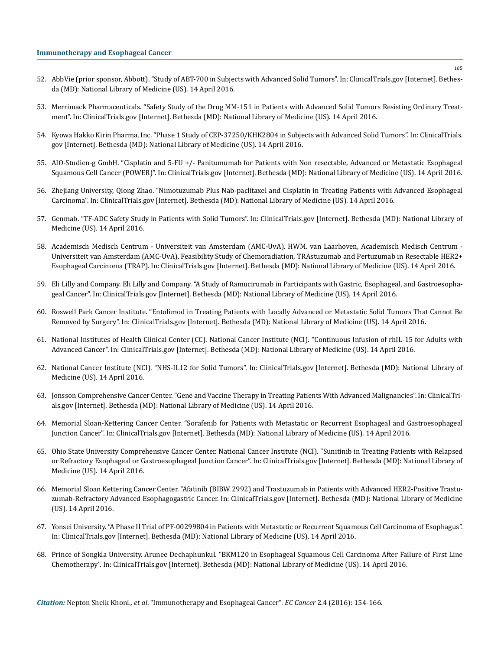- 52. [AbbVie \(prior sponsor, Abbott\). "Study of ABT-700 in Subjects with Advanced Solid Tumors". In: ClinicalTrials.gov \[Internet\]. Bethes](https://clinicaltrials.gov/ct2/show/NCT01472016)[da \(MD\): National Library of Medicine \(US\). 14 April 2016.](https://clinicaltrials.gov/ct2/show/NCT01472016)
- 53. [Merrimack Pharmaceuticals. "Safety Study of the Drug MM-151 in Patients with Advanced Solid Tumors Resisting Ordinary Treat](https://clinicaltrials.gov/ct2/show/NCT01520389)[ment". In: ClinicalTrials.gov \[Internet\]. Bethesda \(MD\): National Library of Medicine \(US\). 14 April 2016.](https://clinicaltrials.gov/ct2/show/NCT01520389)
- 54. [Kyowa Hakko Kirin Pharma, Inc. "Phase 1 Study of CEP-37250/KHK2804 in Subjects with Advanced Solid Tumors". In: ClinicalTrials.](https://clinicaltrials.gov/ct2/show/NCT01447732) [gov \[Internet\]. Bethesda \(MD\): National Library of Medicine \(US\). 14 April 2016.](https://clinicaltrials.gov/ct2/show/NCT01447732)
- 55. [AIO-Studien-g GmbH. "Cisplatin and 5-FU +/- Panitumumab for Patients with Non resectable, Advanced or Metastatic Esophageal](https://clinicaltrials.gov/ct2/show/NCT01627379)  [Squamous Cell Cancer \(POWER\)". In: ClinicalTrials.gov \[Internet\]. Bethesda \(MD\): National Library of Medicine \(US\). 14 April 2016.](https://clinicaltrials.gov/ct2/show/NCT01627379)
- 56. [Zhejiang University, Qiong Zhao. "Nimotuzumab Plus Nab-paclitaxel and Cisplatin in Treating Patients with Advanced Esophageal](https://clinicaltrials.gov/ct2/show/NCT02034968)  [Carcinoma". In: ClinicalTrials.gov \[Internet\]. Bethesda \(MD\): National Library of Medicine \(US\). 14 April 2016.](https://clinicaltrials.gov/ct2/show/NCT02034968)
- 57. [Genmab. "TF-ADC Safety Study in Patients with Solid Tumors". In: ClinicalTrials.gov \[Internet\]. Bethesda \(MD\): National Library of](https://clinicaltrials.gov/ct2/show/NCT02001623)  [Medicine \(US\). 14 April 2016.](https://clinicaltrials.gov/ct2/show/NCT02001623)
- 58. [Academisch Medisch Centrum Universiteit van Amsterdam \(AMC-UvA\). HWM. van Laarhoven, Academisch Medisch Centrum](https://clinicaltrials.gov/ct2/show/NCT02120911)  [Universiteit van Amsterdam \(AMC-UvA\). Feasibility Study of Chemoradiation, TRAstuzumab and Pertuzumab in Resectable HER2+](https://clinicaltrials.gov/ct2/show/NCT02120911)  [Esophageal Carcinoma \(TRAP\). In: ClinicalTrials.gov \[Internet\]. Bethesda \(MD\): National Library of Medicine \(US\). 14 April 2016.](https://clinicaltrials.gov/ct2/show/NCT02120911)
- 59. [Eli Lilly and Company. Eli Lilly and Company. "A Study of Ramucirumab in Participants with Gastric, Esophageal, and Gastroesopha](https://clinicaltrials.gov/ct2/show/NCT01246960)[geal Cancer". In: ClinicalTrials.gov \[Internet\]. Bethesda \(MD\): National Library of Medicine \(US\). 14 April 2016.](https://clinicaltrials.gov/ct2/show/NCT01246960)
- 60. [Roswell Park Cancer Institute. "Entolimod in Treating Patients with Locally Advanced or Metastatic Solid Tumors That Cannot Be](https://clinicaltrials.gov/ct2/show/NCT01527136)  [Removed by Surgery". In: ClinicalTrials.gov \[Internet\]. Bethesda \(MD\): National Library of Medicine \(US\). 14 April 2016.](https://clinicaltrials.gov/ct2/show/NCT01527136)
- 61. [National Institutes of Health Clinical Center \(CC\). National Cancer Institute \(NCI\). "Continuous Infusion of rhIL-15 for Adults with](https://clinicaltrials.gov/ct2/show/NCT01572493)  [Advanced Cancer". In: ClinicalTrials.gov \[Internet\]. Bethesda \(MD\): National Library of Medicine \(US\). 14 April 2016.](https://clinicaltrials.gov/ct2/show/NCT01572493)
- 62. [National Cancer Institute \(NCI\). "NHS-IL12 for Solid Tumors". In: ClinicalTrials.gov \[Internet\]. Bethesda \(MD\): National Library of](https://clinicaltrials.gov/ct2/show/NCT01417546)  [Medicine \(US\). 14 April 2016.](https://clinicaltrials.gov/ct2/show/NCT01417546)
- 63. [Jonsson Comprehensive Cancer Center. "Gene and Vaccine Therapy in Treating Patients With Advanced Malignancies". In: ClinicalTri](https://clinicaltrials.gov/ct2/show/NCT01697527)[als.gov \[Internet\]. Bethesda \(MD\): National Library of Medicine \(US\). 14 April 2016.](https://clinicaltrials.gov/ct2/show/NCT01697527)
- 64. [Memorial Sloan-Kettering Cancer Center. "Sorafenib for Patients with Metastatic or Recurrent Esophageal and Gastroesophageal](https://clinicaltrials.gov/ct2/show/NCT00917462)  [Junction Cancer". In: ClinicalTrials.gov \[Internet\]. Bethesda \(MD\): National Library of Medicine \(US\). 14 April 2016.](https://clinicaltrials.gov/ct2/show/NCT00917462)
- 65. [Ohio State University Comprehensive Cancer Center. National Cancer Institute \(NCI\). "Sunitinib in Treating Patients with Relapsed](https://clinicaltrials.gov/ct2/show/NCT00702884)  [or Refractory Esophageal or Gastroesophageal Junction Cancer". In: ClinicalTrials.gov \[Internet\]. Bethesda \(MD\): National Library of](https://clinicaltrials.gov/ct2/show/NCT00702884)  [Medicine \(US\). 14 April 2016.](https://clinicaltrials.gov/ct2/show/NCT00702884)
- 66. [Memorial Sloan Kettering Cancer Center. "Afatinib \(BIBW 2992\) and Trastuzumab in Patients with Advanced HER2-Positive Trastu](https://clinicaltrials.gov/ct2/show/NCT01522768)[zumab-Refractory Advanced Esophagogastric Cancer. In: ClinicalTrials.gov \[Internet\]. Bethesda \(MD\): National Library of Medicine](https://clinicaltrials.gov/ct2/show/NCT01522768)  [\(US\). 14 April 2016.](https://clinicaltrials.gov/ct2/show/NCT01522768)
- 67. [Yonsei University. "A Phase II Trial of PF-00299804 in Patients with Metastatic or Recurrent Squamous Cell Carcinoma of Esophagus".](https://clinicaltrials.gov/ct2/show/NCT01608022)  [In: ClinicalTrials.gov \[Internet\]. Bethesda \(MD\): National Library of Medicine \(US\). 14 April 2016.](https://clinicaltrials.gov/ct2/show/NCT01608022)
- 68. [Prince of Songkla University. Arunee Dechaphunkul. "BKM120 in Esophageal Squamous Cell Carcinoma After Failure of First Line](https://clinicaltrials.gov/ct2/show/NCT01806649)  [Chemotherapy". In: ClinicalTrials.gov \[Internet\]. Bethesda \(MD\): National Library of Medicine \(US\). 14 April 2016.](https://clinicaltrials.gov/ct2/show/NCT01806649)